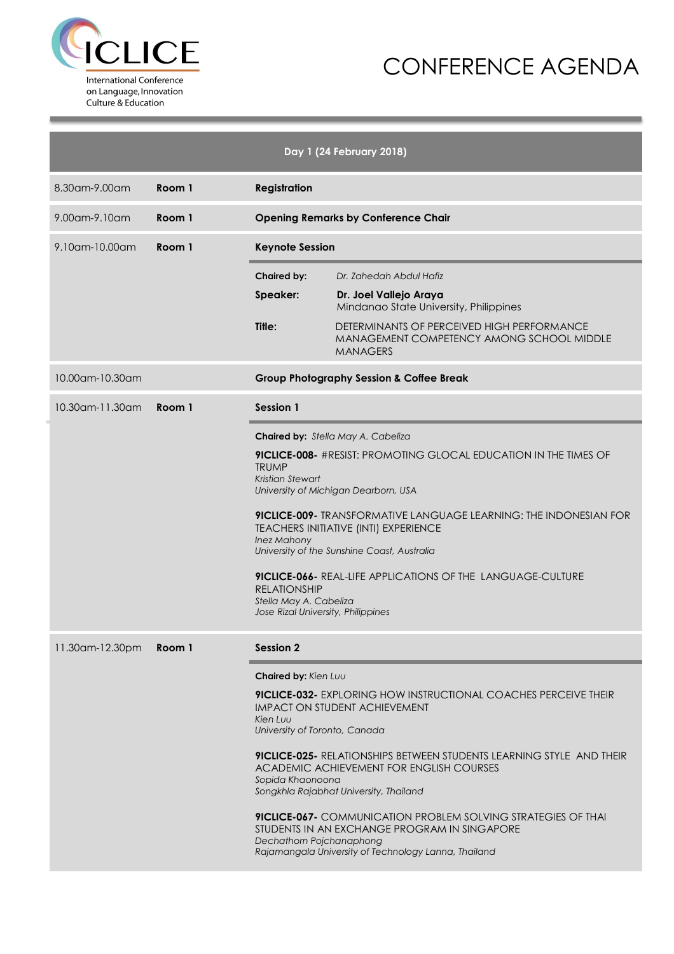



| Day 1 (24 February 2018) |        |                                                                                                                                                                                                                                                                                                                                                                                                                                                                                                                                                                |                                                                                                                                                                                                                                                                                                                                                                                                                                                              |  |  |  |
|--------------------------|--------|----------------------------------------------------------------------------------------------------------------------------------------------------------------------------------------------------------------------------------------------------------------------------------------------------------------------------------------------------------------------------------------------------------------------------------------------------------------------------------------------------------------------------------------------------------------|--------------------------------------------------------------------------------------------------------------------------------------------------------------------------------------------------------------------------------------------------------------------------------------------------------------------------------------------------------------------------------------------------------------------------------------------------------------|--|--|--|
| 8.30am-9.00am            | Room 1 | <b>Registration</b>                                                                                                                                                                                                                                                                                                                                                                                                                                                                                                                                            |                                                                                                                                                                                                                                                                                                                                                                                                                                                              |  |  |  |
| 9.00 am-9.10 am          | Room 1 | <b>Opening Remarks by Conference Chair</b>                                                                                                                                                                                                                                                                                                                                                                                                                                                                                                                     |                                                                                                                                                                                                                                                                                                                                                                                                                                                              |  |  |  |
| 9.10am-10.00am           | Room 1 | <b>Keynote Session</b>                                                                                                                                                                                                                                                                                                                                                                                                                                                                                                                                         |                                                                                                                                                                                                                                                                                                                                                                                                                                                              |  |  |  |
|                          |        | <b>Chaired by:</b>                                                                                                                                                                                                                                                                                                                                                                                                                                                                                                                                             | Dr. Zahedah Abdul Hafiz                                                                                                                                                                                                                                                                                                                                                                                                                                      |  |  |  |
|                          |        | Speaker:                                                                                                                                                                                                                                                                                                                                                                                                                                                                                                                                                       | Dr. Joel Vallejo Araya<br>Mindanao State University, Philippines                                                                                                                                                                                                                                                                                                                                                                                             |  |  |  |
|                          |        | Title:                                                                                                                                                                                                                                                                                                                                                                                                                                                                                                                                                         | DETERMINANTS OF PERCEIVED HIGH PERFORMANCE<br><b>MANAGEMENT COMPETENCY AMONG SCHOOL MIDDLE</b><br><b>MANAGERS</b>                                                                                                                                                                                                                                                                                                                                            |  |  |  |
| 10.00am-10.30am          |        |                                                                                                                                                                                                                                                                                                                                                                                                                                                                                                                                                                | <b>Group Photography Session &amp; Coffee Break</b>                                                                                                                                                                                                                                                                                                                                                                                                          |  |  |  |
| $10.30$ am-11.30am       | Room 1 | <b>Session 1</b>                                                                                                                                                                                                                                                                                                                                                                                                                                                                                                                                               |                                                                                                                                                                                                                                                                                                                                                                                                                                                              |  |  |  |
|                          |        | Chaired by: Stella May A. Cabeliza<br><b>9ICLICE-008-</b> #RESIST: PROMOTING GLOCAL EDUCATION IN THE TIMES OF<br><b>TRUMP</b><br><b>Kristian Stewart</b><br>University of Michigan Dearborn, USA<br><b>9ICLICE-009-</b> TRANSFORMATIVE LANGUAGE LEARNING: THE INDONESIAN FOR<br><b>TEACHERS INITIATIVE (INTI) EXPERIENCE</b><br><b>Inez Mahony</b><br>University of the Sunshine Coast, Australia<br><b>9ICLICE-066-</b> REAL-LIFE APPLICATIONS OF THE LANGUAGE-CULTURE<br><b>RELATIONSHIP</b><br>Stella May A. Cabeliza<br>Jose Rizal University, Philippines |                                                                                                                                                                                                                                                                                                                                                                                                                                                              |  |  |  |
| 11.30am-12.30pm          | Room 1 | <b>Session 2</b><br>Chaired by: Kien Luu<br>Kien Luu<br>University of Toronto, Canada<br>Sopida Khaonoona<br>Dechathorn Pojchanaphong                                                                                                                                                                                                                                                                                                                                                                                                                          | <b>9ICLICE-032-</b> EXPLORING HOW INSTRUCTIONAL COACHES PERCEIVE THEIR<br><b>IMPACT ON STUDENT ACHIEVEMENT</b><br>9ICLICE-025- RELATIONSHIPS BETWEEN STUDENTS LEARNING STYLE AND THEIR<br>ACADEMIC ACHIEVEMENT FOR ENGLISH COURSES<br>Songkhla Rajabhat University, Thailand<br><b>9ICLICE-067-</b> COMMUNICATION PROBLEM SOLVING STRATEGIES OF THAI<br>STUDENTS IN AN EXCHANGE PROGRAM IN SINGAPORE<br>Rajamangala University of Technology Lanna, Thailand |  |  |  |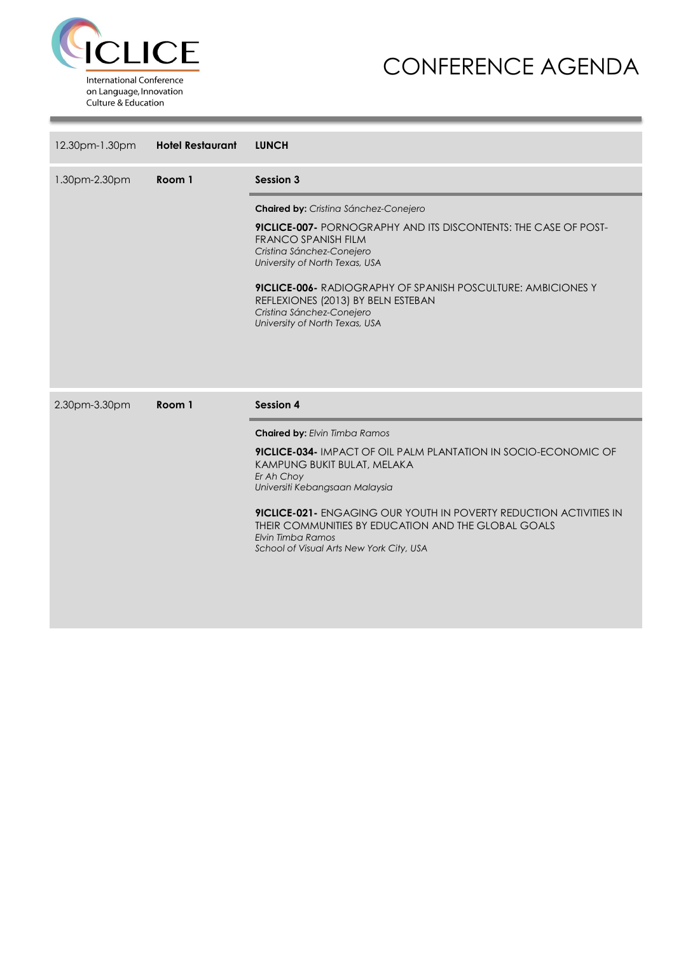

### CONFERENCE AGENDA

| 12.30pm-1.30pm | <b>Hotel Restaurant</b> | <b>LUNCH</b>                                                                                                                                                                                      |
|----------------|-------------------------|---------------------------------------------------------------------------------------------------------------------------------------------------------------------------------------------------|
| 1.30pm-2.30pm  | Room 1                  | <b>Session 3</b>                                                                                                                                                                                  |
|                |                         | Chaired by: Cristina Sánchez-Conejero                                                                                                                                                             |
|                |                         | <b>9ICLICE-007-</b> PORNOGRAPHY AND ITS DISCONTENTS: THE CASE OF POST-<br><b>FRANCO SPANISH FILM</b><br>Cristina Sánchez-Conejero<br>University of North Texas, USA                               |
|                |                         | <b>9ICLICE-006- RADIOGRAPHY OF SPANISH POSCULTURE: AMBICIONES Y</b><br>REFLEXIONES (2013) BY BELN ESTEBAN<br>Cristina Sánchez-Conejero<br>University of North Texas, USA                          |
|                |                         |                                                                                                                                                                                                   |
|                |                         |                                                                                                                                                                                                   |
| 2.30pm-3.30pm  | Room 1                  | <b>Session 4</b>                                                                                                                                                                                  |
|                |                         | <b>Chaired by: Elvin Timba Ramos</b>                                                                                                                                                              |
|                |                         | 9ICLICE-034- IMPACT OF OIL PALM PLANTATION IN SOCIO-ECONOMIC OF<br>KAMPUNG BUKIT BULAT, MELAKA                                                                                                    |
|                |                         | Er Ah Choy<br>Universiti Kebangsaan Malaysia                                                                                                                                                      |
|                |                         | <b>9ICLICE-021-</b> ENGAGING OUR YOUTH IN POVERTY REDUCTION ACTIVITIES IN<br>THEIR COMMUNITIES BY EDUCATION AND THE GLOBAL GOALS<br>Elvin Timba Ramos<br>School of Visual Arts New York City, USA |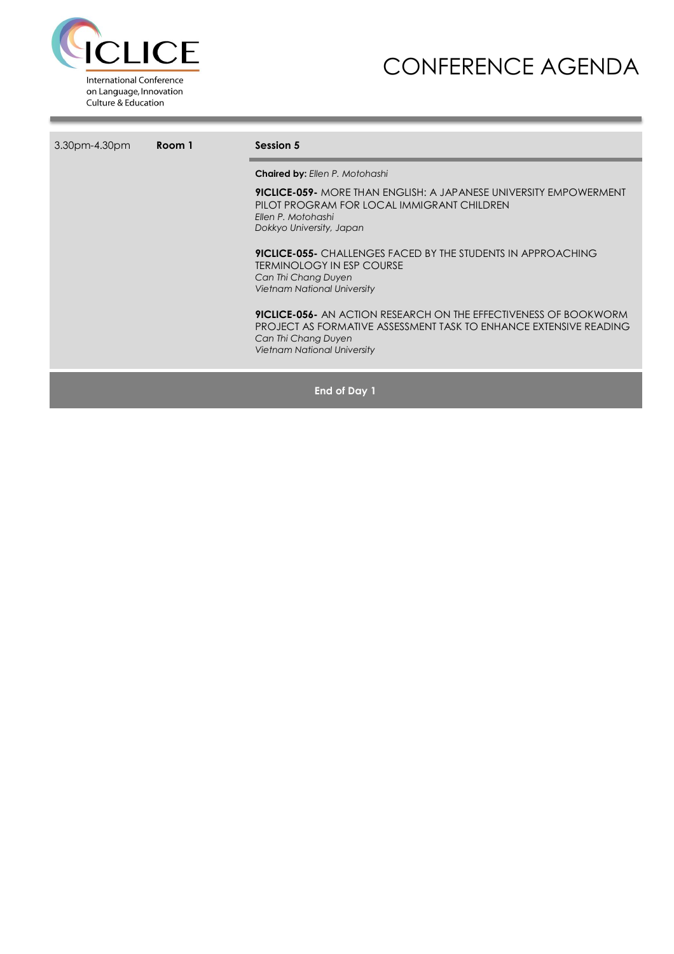

## CONFERENCE AGENDA

| 3.30pm-4.30pm | Room 1 | Session 5                                                                                                                                                                                                 |  |  |  |  |
|---------------|--------|-----------------------------------------------------------------------------------------------------------------------------------------------------------------------------------------------------------|--|--|--|--|
|               |        | <b>Chaired by: Ellen P. Motohashi</b>                                                                                                                                                                     |  |  |  |  |
|               |        | <b>9ICLICE-059-</b> MORE THAN ENGLISH: A JAPANESE UNIVERSITY EMPOWERMENT<br>PILOT PROGRAM FOR LOCAL IMMIGRANT CHILDREN<br>Ellen P. Motohashi<br>Dokkyo University, Japan                                  |  |  |  |  |
|               |        | <b>9ICLICE-055-</b> CHALLENGES FACED BY THE STUDENTS IN APPROACHING<br><b>TERMINOLOGY IN ESP COURSE</b><br>Can Thi Chang Duyen<br><b>Vietnam National University</b>                                      |  |  |  |  |
|               |        | <b>9ICLICE-056-</b> AN ACTION RESEARCH ON THE EFFECTIVENESS OF BOOKWORM<br>PROJECT AS FORMATIVE ASSESSMENT TASK TO ENHANCE EXTENSIVE READING<br>Can Thi Chang Duyen<br><b>Vietnam National University</b> |  |  |  |  |
|               |        | End of Day 1                                                                                                                                                                                              |  |  |  |  |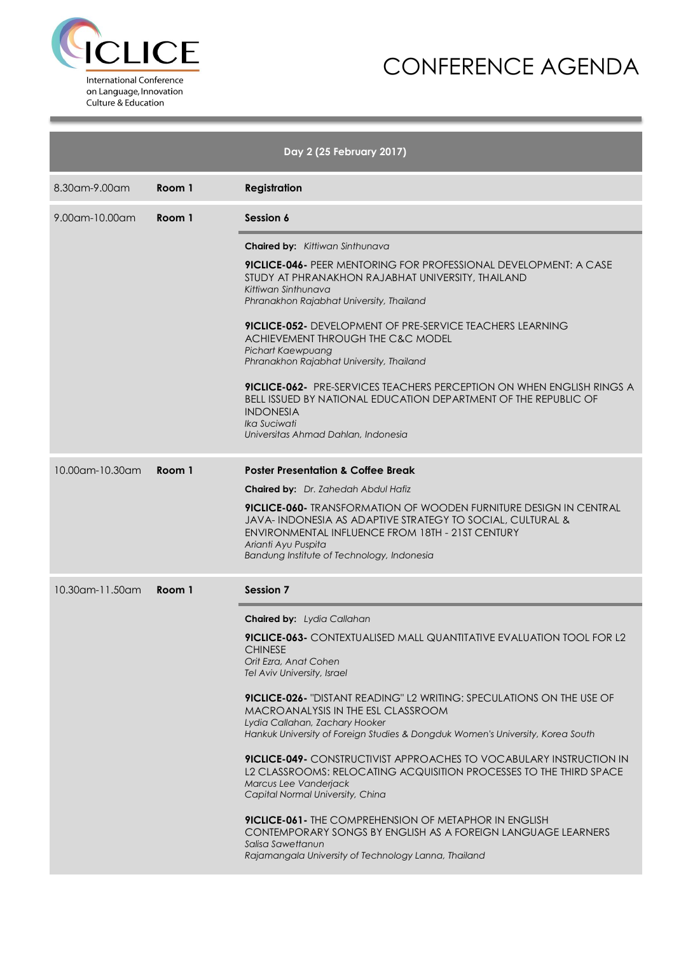



|                 |        | Day 2 (25 February 2017)                                                                                                                                                                                                                                       |
|-----------------|--------|----------------------------------------------------------------------------------------------------------------------------------------------------------------------------------------------------------------------------------------------------------------|
| 8.30am-9.00am   | Room 1 | <b>Registration</b>                                                                                                                                                                                                                                            |
| 9.00am-10.00am  | Room 1 | Session 6                                                                                                                                                                                                                                                      |
|                 |        | <b>Chaired by:</b> Kittiwan Sinthunava                                                                                                                                                                                                                         |
|                 |        | <b>9ICLICE-046-</b> PEER MENTORING FOR PROFESSIONAL DEVELOPMENT: A CASE<br>STUDY AT PHRANAKHON RAJABHAT UNIVERSITY, THAILAND<br>Kittiwan Sinthunava<br>Phranakhon Rajabhat University, Thailand                                                                |
|                 |        | <b>9ICLICE-052-</b> DEVELOPMENT OF PRE-SERVICE TEACHERS LEARNING<br>ACHIEVEMENT THROUGH THE C&C MODEL<br>Pichart Kaewpuang<br>Phranakhon Rajabhat University, Thailand                                                                                         |
|                 |        | <b>9ICLICE-062-</b> PRE-SERVICES TEACHERS PERCEPTION ON WHEN ENGLISH RINGS A<br><b>BELL ISSUED BY NATIONAL EDUCATION DEPARTMENT OF THE REPUBLIC OF</b><br><b>INDONESIA</b><br><i><u><b>Ika Suciwati</b></u></i><br>Universitas Ahmad Dahlan, Indonesia         |
| 10.00am-10.30am | Room 1 | <b>Poster Presentation &amp; Coffee Break</b>                                                                                                                                                                                                                  |
|                 |        | <b>Chaired by:</b> Dr. Zahedah Abdul Hafiz                                                                                                                                                                                                                     |
|                 |        | <b>9ICLICE-060-</b> TRANSFORMATION OF WOODEN FURNITURE DESIGN IN CENTRAL<br>JAVA-INDONESIA AS ADAPTIVE STRATEGY TO SOCIAL, CULTURAL &<br>ENVIRONMENTAL INFLUENCE FROM 18TH - 21ST CENTURY<br>Arianti Ayu Puspita<br>Bandung Institute of Technology, Indonesia |
| 10.30am-11.50am | Room 1 | <b>Session 7</b>                                                                                                                                                                                                                                               |
|                 |        | <b>Chaired by:</b> Lydia Callahan                                                                                                                                                                                                                              |
|                 |        | 9ICLICE-063- CONTEXTUALISED MALL QUANTITATIVE EVALUATION TOOL FOR L2<br><b>CHINESE</b><br>Orit Ezra, Anat Cohen<br>Tel Aviv University, Israel                                                                                                                 |
|                 |        | <b>9ICLICE-026-</b> "DISTANT READING" L2 WRITING: SPECULATIONS ON THE USE OF<br>MACROANALYSIS IN THE ESL CLASSROOM<br>Lydia Callahan, Zachary Hooker<br>Hankuk University of Foreign Studies & Dongduk Women's University, Korea South                         |
|                 |        | 9ICLICE-049- CONSTRUCTIVIST APPROACHES TO VOCABULARY INSTRUCTION IN<br>L2 CLASSROOMS: RELOCATING ACQUISITION PROCESSES TO THE THIRD SPACE<br>Marcus Lee Vanderjack<br>Capital Normal University, China                                                         |
|                 |        | <b>9ICLICE-061-</b> THE COMPREHENSION OF METAPHOR IN ENGLISH<br>CONTEMPORARY SONGS BY ENGLISH AS A FOREIGN LANGUAGE LEARNERS<br>Salisa Sawettanun<br>Rajamangala University of Technology Lanna, Thailand                                                      |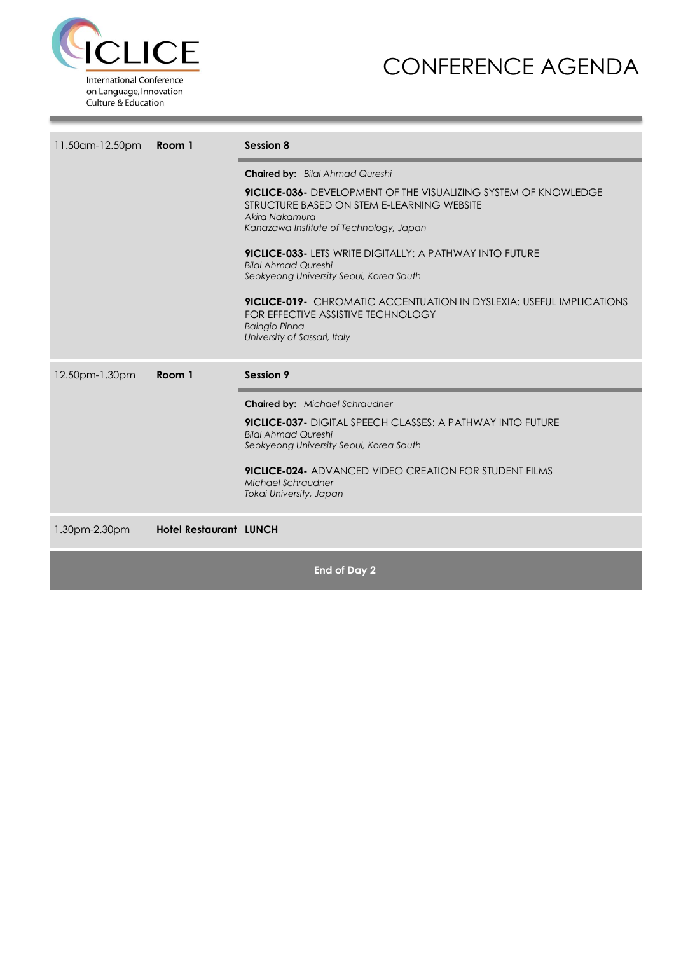

### CONFERENCE AGENDA

| 11.50am-12.50pm | Room 1                        | Session 8                                                                                                                                                                                                                                                                                                                                                                                                                                                                                                                                            |  |  |  |
|-----------------|-------------------------------|------------------------------------------------------------------------------------------------------------------------------------------------------------------------------------------------------------------------------------------------------------------------------------------------------------------------------------------------------------------------------------------------------------------------------------------------------------------------------------------------------------------------------------------------------|--|--|--|
|                 |                               | <b>Chaired by:</b> Bilal Ahmad Qureshi<br><b>9ICLICE-036-</b> DEVELOPMENT OF THE VISUALIZING SYSTEM OF KNOWLEDGE<br>STRUCTURE BASED ON STEM E-LEARNING WEBSITE<br>Akira Nakamura<br>Kanazawa Institute of Technology, Japan<br><b>9ICLICE-033- LETS WRITE DIGITALLY: A PATHWAY INTO FUTURE</b><br><b>Bilal Ahmad Qureshi</b><br>Seokyeong University Seoul, Korea South<br><b>9ICLICE-019-</b> CHROMATIC ACCENTUATION IN DYSLEXIA: USEFUL IMPLICATIONS<br>FOR EFFECTIVE ASSISTIVE TECHNOLOGY<br><b>Baingio Pinna</b><br>University of Sassari, Italy |  |  |  |
| 12.50pm-1.30pm  | Room 1                        | Session 9                                                                                                                                                                                                                                                                                                                                                                                                                                                                                                                                            |  |  |  |
|                 |                               | <b>Chaired by:</b> Michael Schraudner<br><b>9ICLICE-037-</b> DIGITAL SPEECH CLASSES: A PATHWAY INTO FUTURE<br><b>Bilal Ahmad Qureshi</b><br>Seokyeong University Seoul, Korea South<br><b>9ICLICE-024-</b> ADVANCED VIDEO CREATION FOR STUDENT FILMS<br>Michael Schraudner<br>Tokai University, Japan                                                                                                                                                                                                                                                |  |  |  |
| 1.30pm-2.30pm   | <b>Hotel Restaurant LUNCH</b> |                                                                                                                                                                                                                                                                                                                                                                                                                                                                                                                                                      |  |  |  |

**End of Day 2**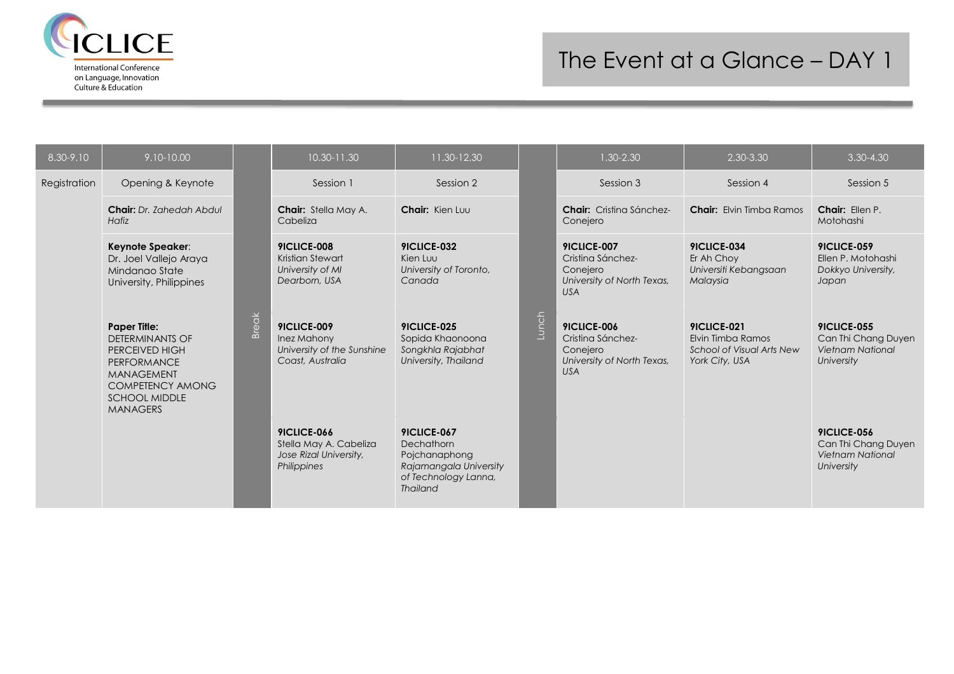

# The Event at a Glance – DAY 1

| 8.30-9.10    | 9.10-10.00                                                                                                                                                                |              | 10.30-11.30                                                                    | 11.30-12.30                                                                                                     |       | 1.30-2.30                                                                                | 2.30-3.30                                                                              | $3.30 - 4.30$                                                                      |
|--------------|---------------------------------------------------------------------------------------------------------------------------------------------------------------------------|--------------|--------------------------------------------------------------------------------|-----------------------------------------------------------------------------------------------------------------|-------|------------------------------------------------------------------------------------------|----------------------------------------------------------------------------------------|------------------------------------------------------------------------------------|
| Registration | Opening & Keynote                                                                                                                                                         |              | Session 1                                                                      | Session 2                                                                                                       |       | Session 3                                                                                | Session 4                                                                              | Session 5                                                                          |
|              | <b>Chair:</b> Dr. Zahedah Abdul<br>Hafiz                                                                                                                                  |              | Chair: Stella May A.<br>Cabeliza                                               | Chair: Kien Luu                                                                                                 |       | <b>Chair:</b> Cristing Sánchez-<br>Conejero                                              | <b>Chair:</b> Elvin Timba Ramos                                                        | Chair: Ellen P.<br>Motohashi                                                       |
|              | Keynote Speaker:<br>Dr. Joel Vallejo Araya<br>Mindango State<br>University, Philippines                                                                                   |              | 9ICLICE-008<br>Kristian Stewart<br>University of MI<br>Dearborn, USA           | 9ICLICE-032<br>Kien Luu<br>University of Toronto,<br>Canada                                                     | Lunch | 9ICLICE-007<br>Cristing Sánchez-<br>Conejero<br>University of North Texas,<br><b>USA</b> | 9ICLICE-034<br>Er Ah Chov<br>Universiti Kebangsaan<br>Malaysia                         | 9ICLICE-059<br>Ellen P. Motohashi<br>Dokkyo University,<br>Japan                   |
|              | <b>Paper Title:</b><br><b>DETERMINANTS OF</b><br>PERCEIVED HIGH<br><b>PERFORMANCE</b><br>MANAGEMENT<br><b>COMPETENCY AMONG</b><br><b>SCHOOL MIDDLE</b><br><b>MANAGERS</b> | <b>Break</b> | 9ICLICE-009<br>Inez Mahony<br>University of the Sunshine<br>Coast, Australia   | <b>9ICLICE-025</b><br>Sopida Khaonoona<br>Songkhla Rajabhat<br>University, Thailand                             |       | 9ICLICE-006<br>Cristing Sánchez-<br>Conejero<br>University of North Texas,<br><b>USA</b> | 9ICLICE-021<br>Elvin Timba Ramos<br><b>School of Visual Arts New</b><br>York City, USA | <b>9ICLICE-055</b><br>Can Thi Chang Duyen<br><b>Vietnam National</b><br>University |
|              |                                                                                                                                                                           |              | 9ICLICE-066<br>Stella May A. Cabeliza<br>Jose Rizal University,<br>Philippines | 9ICLICE-067<br>Dechathorn<br>Pojchanaphong<br>Rajamangala University<br>of Technology Lanna,<br><b>Thailand</b> |       |                                                                                          |                                                                                        | 9ICLICE-056<br>Can Thi Chang Duyen<br><b>Vietnam National</b><br>University        |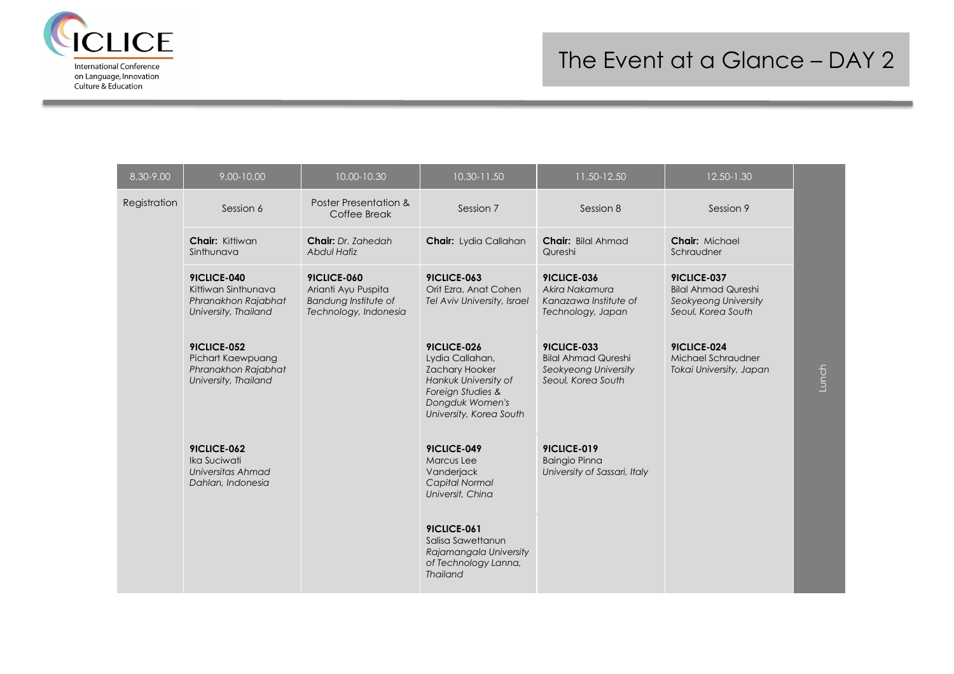

| 8.30-9.00    | 9.00-10.00                                                                        | 10.00-10.30                                                                         | 10.30-11.50                                                                                                                                        | 11.50-12.50                                                                             | 12.50-1.30                                                                              |       |
|--------------|-----------------------------------------------------------------------------------|-------------------------------------------------------------------------------------|----------------------------------------------------------------------------------------------------------------------------------------------------|-----------------------------------------------------------------------------------------|-----------------------------------------------------------------------------------------|-------|
| Registration | Session 6                                                                         | Poster Presentation &<br>Coffee Break                                               | Session 7                                                                                                                                          | Session 8                                                                               | Session 9                                                                               |       |
|              | Chair: Kittiwan<br>Sinthunava                                                     | <b>Chair:</b> Dr. Zahedah<br><b>Abdul Hafiz</b>                                     | <b>Chair:</b> Lydia Callahan                                                                                                                       | Chair: Bilal Ahmad<br>Qureshi                                                           | Chair: Michael<br>Schraudner                                                            |       |
|              | 9ICLICE-040<br>Kittiwan Sinthunava<br>Phranakhon Rajabhat<br>University, Thailand | 9ICLICE-060<br>Arianti Ayu Puspita<br>Bandung Institute of<br>Technology, Indonesia | 9ICLICE-063<br>Orit Ezra, Anat Cohen<br>Tel Aviv University, Israel                                                                                | 9ICLICE-036<br>Akira Nakamura<br>Kanazawa Institute of<br>Technology, Japan             | 9ICLICE-037<br><b>Bilal Ahmad Qureshi</b><br>Seokyeong University<br>Seoul, Korea South |       |
|              | 9ICLICE-052<br>Pichart Kaewpuang<br>Phranakhon Rajabhat<br>University, Thailand   |                                                                                     | 9ICLICE-026<br>Lydia Callahan,<br><b>Zachary Hooker</b><br>Hankuk University of<br>Foreign Studies &<br>Dongduk Women's<br>University, Korea South | 9ICLICE-033<br><b>Bilal Ahmad Qureshi</b><br>Seokyeong University<br>Seoul, Korea South | 9ICLICE-024<br>Michael Schraudner<br>Tokai University, Japan                            | Lunch |
|              | <b>9ICLICE-062</b><br>Ika Suciwati<br>Universitas Ahmad<br>Dahlan, Indonesia      |                                                                                     | 9ICLICE-049<br><b>Marcus Lee</b><br>Vanderjack<br>Capital Normal<br>Universit, China                                                               | 9ICLICE-019<br><b>Baingio Pinna</b><br>University of Sassari, Italy                     |                                                                                         |       |
|              |                                                                                   |                                                                                     | <b>9ICLICE-061</b><br>Salisa Sawettanun<br>Rajamangala University<br>of Technology Lanna,<br><b>Thailand</b>                                       |                                                                                         |                                                                                         |       |